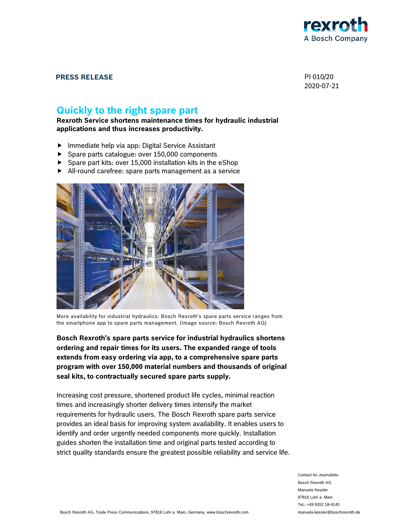

### **PRESS RELEASE** PI 010/20

2020-07-21

# **Quickly to the right spare part**

**Rexroth Service shortens maintenance times for hydraulic industrial applications and thus increases productivity.** 

- $\blacktriangleright$  Immediate help via app: Digital Service Assistant
- Spare parts catalogue: over 150,000 components
- Spare part kits: over 15,000 installation kits in the eShop
- All-round carefree: spare parts management as a service



More availability for industrial hydraulics: Bosch Rexroth's spare parts service ranges from the smartphone app to spare parts management. (Image source: Bosch Rexroth AG)

**Bosch Rexroth's spare parts service for industrial hydraulics shortens ordering and repair times for its users. The expanded range of tools extends from easy ordering via app, to a comprehensive spare parts program with over 150,000 material numbers and thousands of original seal kits, to contractually secured spare parts supply.** 

Increasing cost pressure, shortened product life cycles, minimal reaction times and increasingly shorter delivery times intensify the market requirements for hydraulic users. The Bosch Rexroth spare parts service provides an ideal basis for improving system availability. It enables users to identify and order urgently needed components more quickly. Installation guides shorten the installation time and original parts tested according to strict quality standards ensure the greatest possible reliability and service life.

> Contact for Journalists: Bosch Rexroth AG Manuela Kessler 97816 Lohr a. Main Tel.: +49 9352 18-4145 manuela.kessler@boschrexroth.de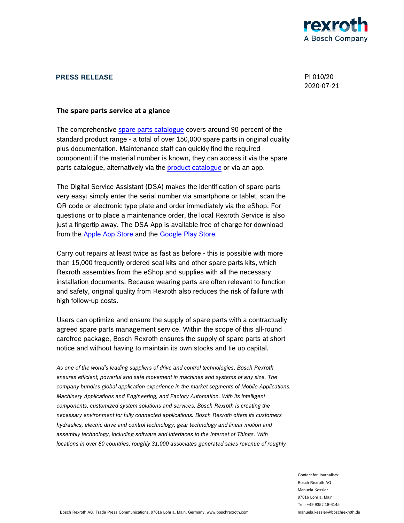

### **PRESS RELEASE** PI 010/20

2020-07-21

#### **The spare parts service at a glance**

The comprehensive spare parts catalogue covers around 90 percent of the standard product range - a total of over 150,000 spare parts in original quality plus documentation. Maintenance staff can quickly find the required component: if the material number is known, they can access it via the spare parts catalogue, alternatively via the **product catalogue** or via an app.

The Digital Service Assistant (DSA) makes the identification of spare parts very easy: simply enter the serial number via smartphone or tablet, scan the QR code or electronic type plate and order immediately via the eShop. For questions or to place a maintenance order, the local Rexroth Service is also just a fingertip away. The DSA App is available free of charge for download from the Apple App Store and the Google Play Store.

Carry out repairs at least twice as fast as before - this is possible with more than 15,000 frequently ordered seal kits and other spare parts kits, which Rexroth assembles from the eShop and supplies with all the necessary installation documents. Because wearing parts are often relevant to function and safety, original quality from Rexroth also reduces the risk of failure with high follow-up costs.

Users can optimize and ensure the supply of spare parts with a contractually agreed spare parts management service. Within the scope of this all-round carefree package, Bosch Rexroth ensures the supply of spare parts at short notice and without having to maintain its own stocks and tie up capital.

*As one of the world's leading suppliers of drive and control technologies, Bosch Rexroth ensures efficient, powerful and safe movement in machines and systems of any size. The company bundles global application experience in the market segments of Mobile Applications, Machinery Applications and Engineering, and Factory Automation. With its intelligent components, customized system solutions and services, Bosch Rexroth is creating the necessary environment for fully connected applications. Bosch Rexroth offers its customers hydraulics, electric drive and control technology, gear technology and linear motion and assembly technology, including software and interfaces to the Internet of Things. With locations in over 80 countries, roughly 31,000 associates generated sales revenue of roughly* 

> Contact for Journalists: Bosch Rexroth AG Manuela Kessler 97816 Lohr a. Main Tel.: +49 9352 18-4145 manuela.kessler@boschrexroth.de